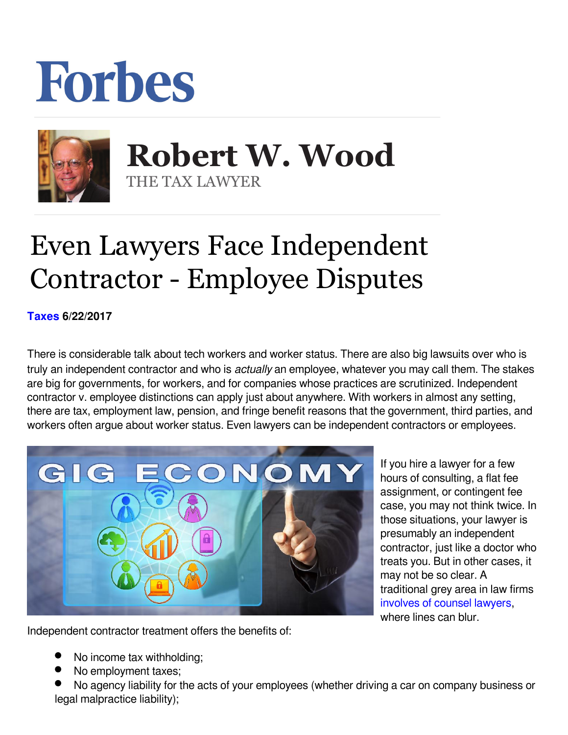## Forbes



 **Robert W. Wood** THE TAX LAWYER

## Even Lawyers Face Independent Contractor - Employee Disputes

**[Taxes](https://www.forbes.com/taxes) 6/22/2017** 

There is considerable talk about tech workers and worker status. There are also big lawsuits over who is truly an independent contractor and who is *actually* an employee, whatever you may call them. The stakes are big for governments, for workers, and for companies whose practices are scrutinized. Independent contractor v. employee distinctions can apply just about anywhere. With workers in almost any setting, there are tax, employment law, pension, and fringe benefit reasons that the government, third parties, and workers often argue about worker status. Even lawyers can be independent contractors or employees.



If you hire a lawyer for a few hours of consulting, a flat fee assignment, or contingent fee case, you may not think twice. In those situations, your lawyer is presumably an independent contractor, just like a doctor who treats you. But in other cases, it may not be so clear. A traditional grey area in law firms [involves of counsel lawyers](http://www.woodllp.com/Publications/Articles/pdf/CorporateCounselWeekly_employee_v.ic.pdf), where lines can blur.

Independent contractor treatment offers the benefits of:

- No income tax withholding;
- No employment taxes;
- No agency liability for the acts of your employees (whether driving a car on company business or legal malpractice liability);